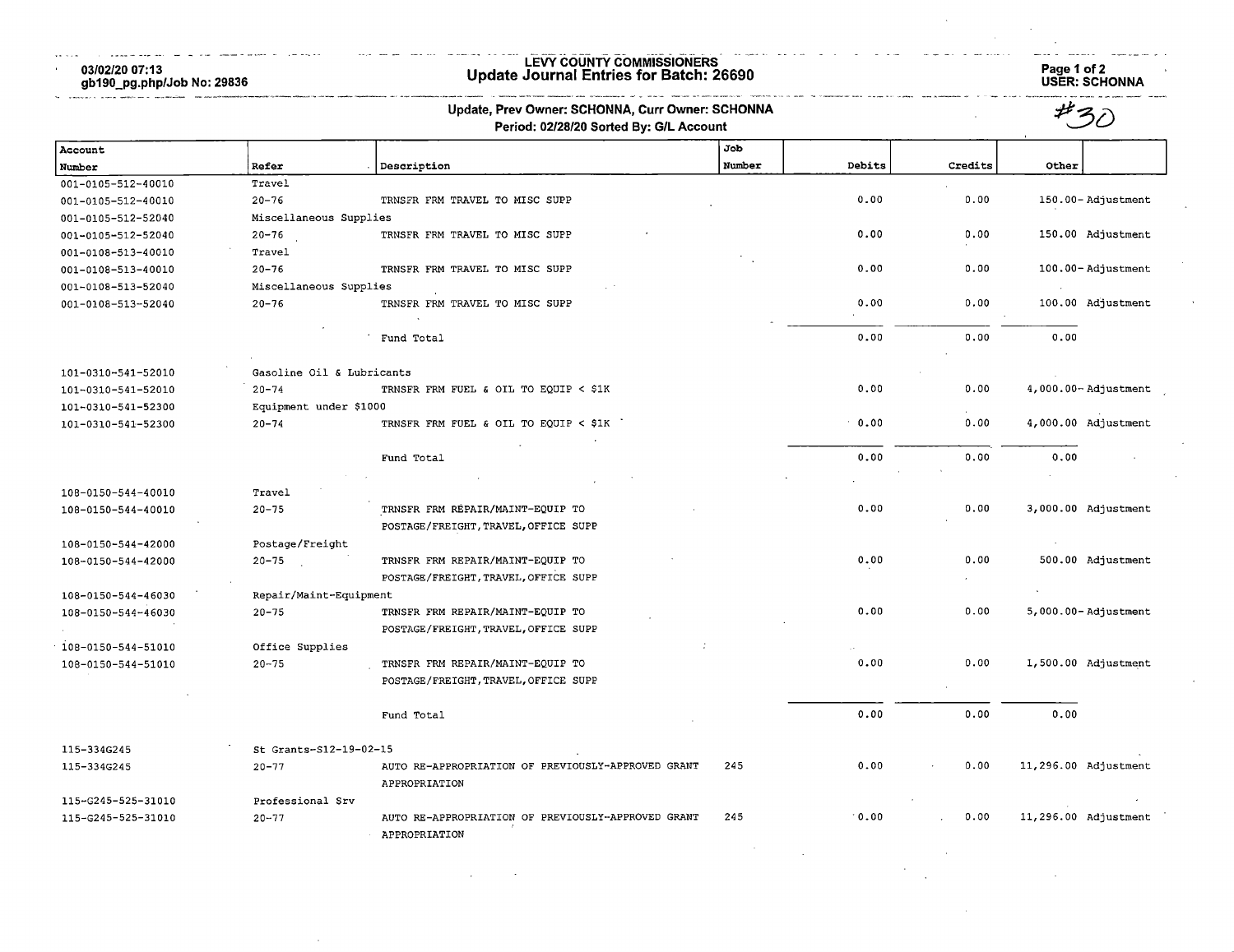03/02/20 07:13 gb190\_pg.php/Job No: 29836

 $\sim$ 

المحاومة للدرارات المعتملة المستقيد أأعوله

 $\sim$ 

# LEVY COUNTY COMMrSSIONERS Update Journal Entries for Batch: 26690 Page 1 of 2

الأرادي المتحفظ

Page 1 of 2<br>USER: SCHONNA

| Update, Prev Owner: SCHONNA, Curr Owner: SCHONNA |                           |                                                                     |        |                            |         |                         |
|--------------------------------------------------|---------------------------|---------------------------------------------------------------------|--------|----------------------------|---------|-------------------------|
|                                                  |                           | Period: 02/28/20 Sorted By: G/L Account                             |        |                            |         |                         |
| Account                                          |                           |                                                                     | Job    |                            |         |                         |
| Number                                           | Refer                     | Description                                                         | Number | Debits                     | Credits | Other                   |
| 001-0105-512-40010                               | Travel                    |                                                                     |        |                            |         |                         |
| 001-0105-512-40010                               | $20 - 76$                 | TRNSFR FRM TRAVEL TO MISC SUPP                                      |        | 0.00                       | 0.00    | 150.00-Adjustment       |
| 001-0105-512-52040                               | Miscellaneous Supplies    |                                                                     |        |                            |         |                         |
| 001-0105-512-52040                               | 20-76                     | TRNSFR FRM TRAVEL TO MISC SUPP                                      |        | 0.00                       | 0.00    | 150.00 Adjustment       |
| 001-0108-513-40010                               | Travel                    |                                                                     |        |                            |         |                         |
| 001-0108-513-40010                               | $20 - 76$                 | TRNSFR FRM TRAVEL TO MISC SUPP                                      |        | 0.00                       | 0.00    | 100.00-Adjustment       |
| 001-0108-513-52040                               | Miscellaneous Supplies    |                                                                     |        |                            |         |                         |
| 001-0108-513-52040                               | $20 - 76$                 | TRNSFR FRM TRAVEL TO MISC SUPP                                      |        | 0.00                       | 0.00    | 100.00 Adjustment       |
|                                                  |                           | Fund Total                                                          |        | 0.00                       | 0.00    | 0.00                    |
| 101-0310-541-52010                               | Gasoline Oil & Lubricants |                                                                     |        |                            |         |                         |
| 101-0310-541-52010                               | $20 - 74$                 | TRNSFR FRM FUEL & OIL TO EQUIP < \$1K                               |        | 0.00                       | 0.00    | 4,000.00-Adjustment     |
| 101-0310-541-52300                               | Equipment under \$1000    |                                                                     |        |                            |         |                         |
| 101-0310-541-52300                               | $20 - 74$                 | TRNSFR FRM FUEL & OIL TO EQUIP < \$1K                               |        | 0.00                       | 0.00    | 4,000.00 Adjustment     |
|                                                  |                           | Fund Total                                                          |        | 0.00                       | 0.00    | 0.00                    |
| 108-0150-544-40010                               | Travel                    |                                                                     |        |                            |         |                         |
| 108-0150-544-40010                               | $20 - 75$                 | TRNSFR FRM REPAIR/MAINT-EQUIP TO                                    |        | 0.00                       | 0.00    | 3,000.00 Adjustment     |
|                                                  |                           | POSTAGE/FREIGHT, TRAVEL, OFFICE SUPP                                |        |                            |         |                         |
| 108-0150-544-42000                               | Postage/Freight           |                                                                     |        |                            |         |                         |
| 108-0150-544-42000                               | $20 - 75$                 | TRNSFR FRM REPAIR/MAINT-EQUIP TO                                    |        | 0.00                       | 0.00    | 500.00 Adjustment       |
|                                                  |                           | POSTAGE/FREIGHT, TRAVEL, OFFICE SUPP                                |        |                            |         |                         |
| 108-0150-544-46030                               | Repair/Maint-Equipment    |                                                                     |        |                            |         |                         |
| 108-0150-544-46030                               | $20 - 75$                 | TRNSFR FRM REPAIR/MAINT-EQUIP TO                                    |        | 0.00                       | 0.00    | $5,000.00 -$ Adjustment |
|                                                  |                           | POSTAGE/FREIGHT, TRAVEL, OFFICE SUPP                                |        |                            |         |                         |
| 108-0150-544-51010                               | Office Supplies           |                                                                     |        |                            |         |                         |
| 108-0150-544-51010                               | $20 - 75$                 | TRNSFR FRM REPAIR/MAINT-EQUIP TO                                    |        | 0.00                       | 0.00    | 1,500.00 Adjustment     |
|                                                  |                           | POSTAGE/FREIGHT, TRAVEL, OFFICE SUPP                                |        |                            |         |                         |
|                                                  |                           | Fund Total                                                          |        | 0.00                       | 0.00    | 0.00                    |
| 115-334G245                                      | St Grants-S12-19-02-15    |                                                                     |        |                            |         |                         |
| 115-334G245                                      | $20 - 77$                 | AUTO RE-APPROPRIATION OF PREVIOUSLY-APPROVED GRANT<br>APPROPRIATION | 245    | 0.00                       | 0.00    | 11,296.00 Adjustment    |
| 115-G245-525-31010                               | Professional Srv          |                                                                     |        |                            |         |                         |
| 115-G245-525-31010                               | $20 - 77$                 | AUTO RE-APPROPRIATION OF PREVIOUSLY-APPROVED GRANT<br>APPROPRIATION | 245    | $^{\circ}$ 0.00 $^{\circ}$ | 0.00    | 11,296.00 Adjustment    |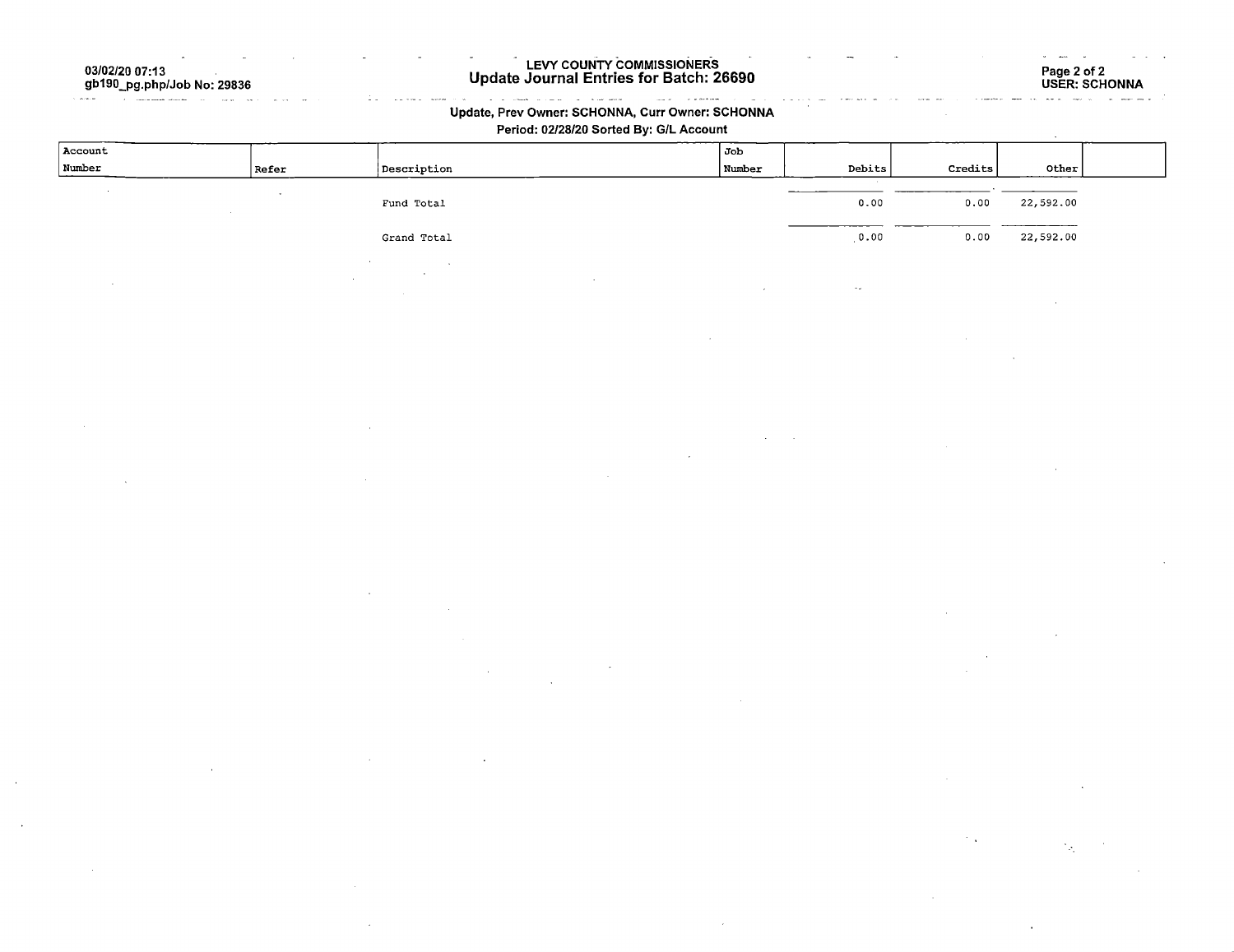03/02/20 07:13 gb190\_pg.php/Job No: 29836

and the same of the same of the same of the same of the same of the same of the same of the same of the same of the same of the same of the same of the same of the same of the same of the same of the same of the same of th

#### LEVY COUNTY COMMISSIONERS Update Journal Entries for Batch: 26690

#### $\label{eq:1} \omega_{\text{max}}(x) = \omega_{\text{max}}(x) + \omega_{\text{max}}(x)$ **ARTHUR MORE** COM Update, Prev Owner: SCHONNA, Curr Owner: SCHONNA

Period: 02/28/20 Sorted By: G/L Account

| Account |       |                                   | Job    |        |         |               |  |
|---------|-------|-----------------------------------|--------|--------|---------|---------------|--|
| Number  | Refer | Description                       | Number | Debits | Credits | Other<br>____ |  |
|         |       |                                   |        |        |         |               |  |
|         |       | Fund Total                        |        | 0.00   | 0.00    | 22,592.00     |  |
|         |       |                                   |        |        |         | _________     |  |
|         |       | Grand Total                       |        | 0.00   | 0.00    | 22,592.00     |  |
|         |       |                                   |        |        |         |               |  |
|         |       | <b>Contract Contract Contract</b> |        |        |         |               |  |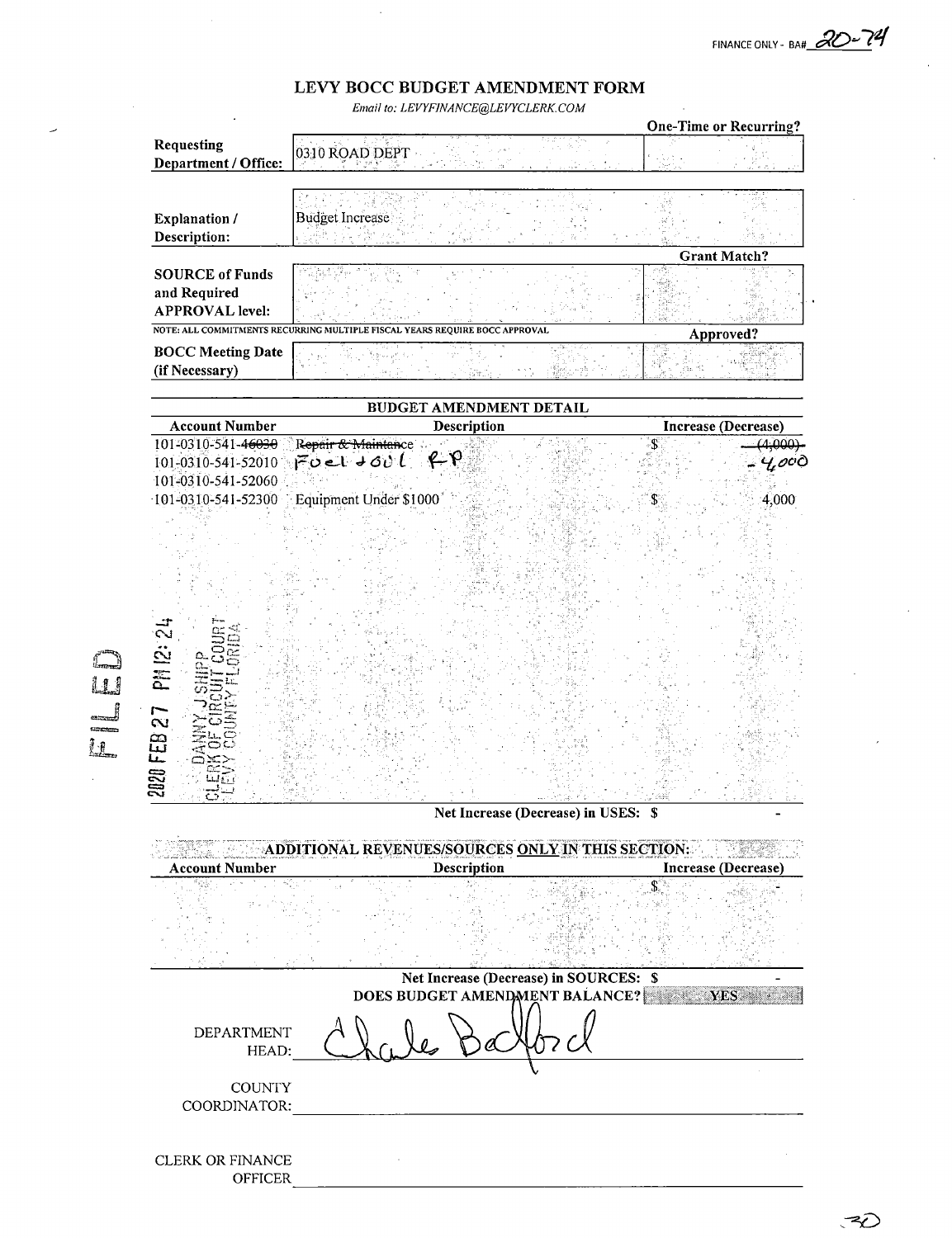FINANCE ONLY - BA#  $\mathcal{R}$ 

# LEVY BOCC BUDGET AMENDMENT FORM

Email to: LEVYFINANCE@LEVYCLERK.COM

|                                             |                                                                             |             |                                        |    | <b>One-Time or Recurring?</b>         |
|---------------------------------------------|-----------------------------------------------------------------------------|-------------|----------------------------------------|----|---------------------------------------|
| Requesting                                  | 그리스 그리스텔<br>0310 ROAD DEPT                                                  |             |                                        |    |                                       |
| Department / Office:                        |                                                                             |             |                                        |    |                                       |
|                                             |                                                                             |             |                                        |    |                                       |
|                                             | Budget Increase                                                             |             |                                        |    |                                       |
| <b>Explanation</b> /<br>Description:        |                                                                             |             |                                        |    |                                       |
|                                             |                                                                             |             |                                        |    | <b>Grant Match?</b>                   |
| <b>SOURCE of Funds</b>                      |                                                                             |             |                                        |    |                                       |
| and Required                                |                                                                             |             |                                        |    |                                       |
| <b>APPROVAL level:</b>                      |                                                                             |             |                                        |    |                                       |
|                                             | NOTE: ALL COMMITMENTS RECURRING MULTIPLE FISCAL YEARS REQUIRE BOCC APPROVAL |             |                                        |    | Approved?                             |
| <b>BOCC Meeting Date</b>                    |                                                                             |             |                                        |    |                                       |
| (if Necessary)                              |                                                                             | Sit.        |                                        |    |                                       |
|                                             |                                                                             |             |                                        |    |                                       |
|                                             | BUDGET AMENDMENT DETAIL                                                     |             |                                        |    |                                       |
| <b>Account Number</b><br>101-0310-541-46030 |                                                                             | Description |                                        | .S | <b>Increase (Decrease)</b><br>(4.000) |
| 101-0310-541-52010                          | Repair & Maintance<br>Foel tool for                                         |             |                                        |    | $\gamma$ oc $\delta$                  |
| 101-0310-541-52060                          |                                                                             |             |                                        |    |                                       |
| 101-0310-541-52300                          | Equipment Under \$1000                                                      |             |                                        | S  | 4,000                                 |
|                                             |                                                                             |             |                                        |    |                                       |
|                                             |                                                                             |             |                                        |    |                                       |
|                                             |                                                                             |             |                                        |    |                                       |
|                                             |                                                                             |             |                                        |    |                                       |
|                                             |                                                                             |             |                                        |    |                                       |
|                                             |                                                                             |             |                                        |    |                                       |
| PM 12: 24                                   |                                                                             |             |                                        |    |                                       |
|                                             |                                                                             |             |                                        |    |                                       |
|                                             |                                                                             |             |                                        |    |                                       |
|                                             |                                                                             |             |                                        |    |                                       |
|                                             |                                                                             |             |                                        |    |                                       |
|                                             |                                                                             |             |                                        |    |                                       |
|                                             |                                                                             |             |                                        |    |                                       |
| 2020 FEB 27                                 |                                                                             |             |                                        |    |                                       |
| O                                           |                                                                             |             |                                        |    |                                       |
| <b>Account Number</b>                       | ADDITIONAL REVENUES/SOURCES <u>ONLY</u> IN THIS SECTION:                    | Description | Net Increase (Decrease) in USES: \$    |    | Increase (Decrease)                   |
|                                             |                                                                             |             |                                        | \$ |                                       |
|                                             |                                                                             |             | Net Increase (Decrease) in SOURCES: \$ |    |                                       |
|                                             |                                                                             |             | DOES BUDGET AMENDMENT BALANCE?         |    | YES                                   |
| <b>DEPARTMENT</b><br>HEAD:                  |                                                                             |             |                                        |    |                                       |
| <b>COUNTY</b><br>COORDINATOR:               |                                                                             |             |                                        |    |                                       |
|                                             |                                                                             |             |                                        |    |                                       |
|                                             |                                                                             |             |                                        |    |                                       |
| CLERK OR FINANCE                            |                                                                             |             |                                        |    |                                       |

OFFICER

 $\overline{\phantom{a}}$ 

R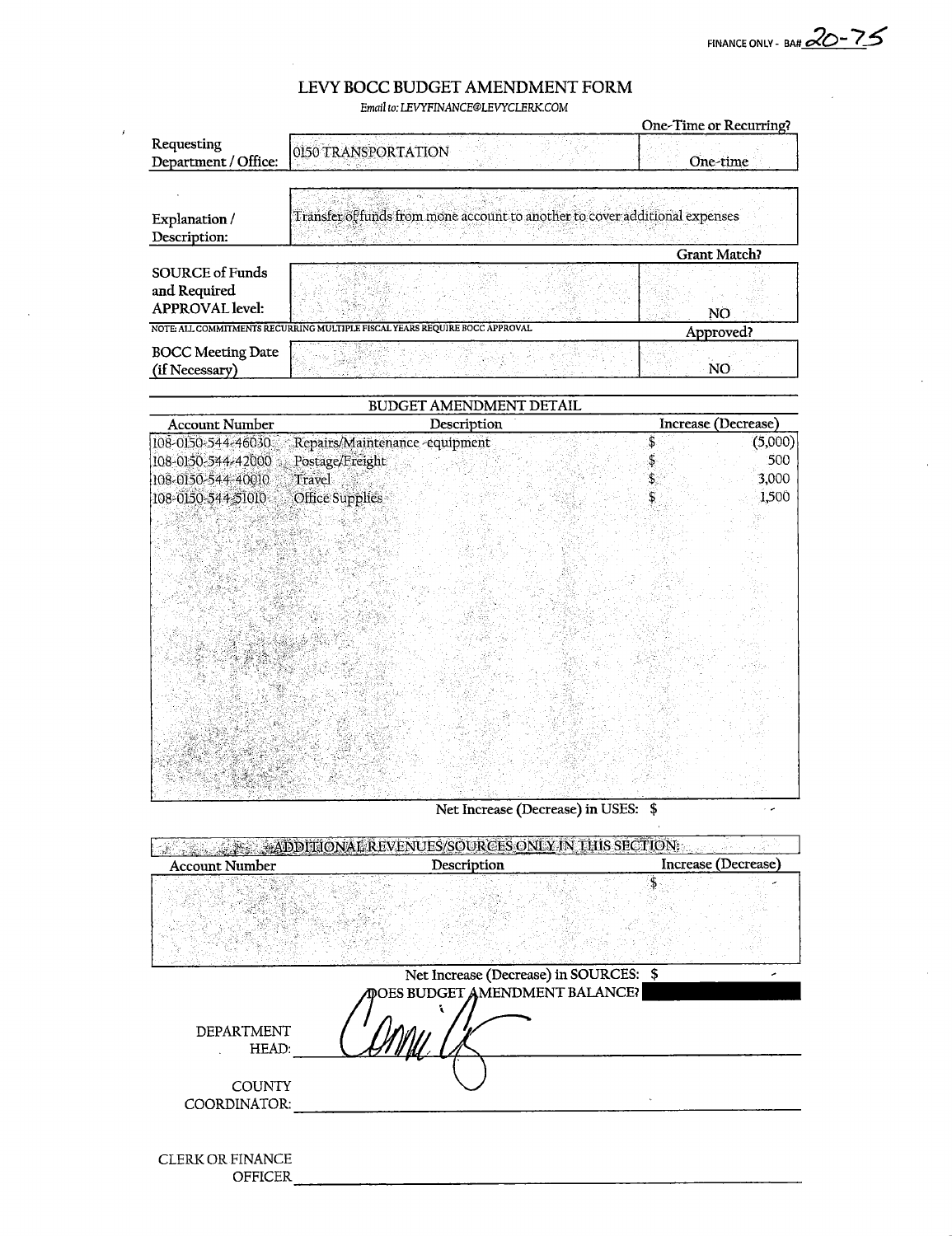FINANCE ONLY - BAH  $20 - 75$ 

 $\sim$   $\sim$ 

## LEVY BOCC BUDGET AMENDMENT FORM

Email to; LEVYF1NANCE@LEVYCLERK.COM

|                                                                  |                                                                             | One-Time or Recurring? |
|------------------------------------------------------------------|-----------------------------------------------------------------------------|------------------------|
| Requesting<br>Department / Office:                               | 0150 TRANSPORTATION                                                         | One-time               |
|                                                                  |                                                                             |                        |
| Explanation /                                                    | Transfer of funds from mone account to another to cover additional expenses |                        |
| Description:                                                     |                                                                             |                        |
|                                                                  |                                                                             | <b>Grant Match?</b>    |
| <b>SOURCE of Funds</b><br>and Required<br><b>APPROVAL</b> level: |                                                                             | NO                     |
|                                                                  | NOTE: ALL COMMITMENTS RECURRING MULTIPLE FISCAL YEARS REQUIRE BOCC APPROVAL | Approved?              |
| <b>BOCC Meeting Date</b><br>(if Necessary)                       |                                                                             | NO                     |

| BUDGET AMENDMENT DETAIL                                                              |                                                                               |                                                    |  |  |  |  |
|--------------------------------------------------------------------------------------|-------------------------------------------------------------------------------|----------------------------------------------------|--|--|--|--|
| <b>Account Number</b>                                                                | Description                                                                   | Increase (Decrease)                                |  |  |  |  |
| 108-0150-544-46030<br>108-0150-544-42000<br>108-0150-544-40010<br>108-0150-544-51010 | Repairs/Maintenance-equipment<br>Postage/Freight<br>Travel<br>Office Supplies | Š<br>(5,000)<br>500<br>\$,<br>3,000<br>\$<br>1,500 |  |  |  |  |
|                                                                                      |                                                                               |                                                    |  |  |  |  |
|                                                                                      |                                                                               |                                                    |  |  |  |  |
|                                                                                      |                                                                               |                                                    |  |  |  |  |

Net Increase (Decrease) in USES: \$

| ADDITIONAL REVENUES/SOURCES ONLY IN THIS SECTION. |                                        |                     |  |  |  |  |  |
|---------------------------------------------------|----------------------------------------|---------------------|--|--|--|--|--|
| <b>Account Number</b>                             | Description                            | Increase (Decrease) |  |  |  |  |  |
|                                                   |                                        |                     |  |  |  |  |  |
|                                                   |                                        |                     |  |  |  |  |  |
|                                                   | Net Increase (Decrease) in SOURCES: \$ |                     |  |  |  |  |  |
|                                                   | <b>MOES BUDGET AMENDMENT BALANCE?</b>  |                     |  |  |  |  |  |
| DEPARTMENT<br>HEAD:                               |                                        |                     |  |  |  |  |  |
| <b>COUNTY</b><br>COORDINATOR:                     |                                        |                     |  |  |  |  |  |
|                                                   |                                        |                     |  |  |  |  |  |
| <b>CLERK OR FINANCE</b><br><b>OFFICER</b>         |                                        |                     |  |  |  |  |  |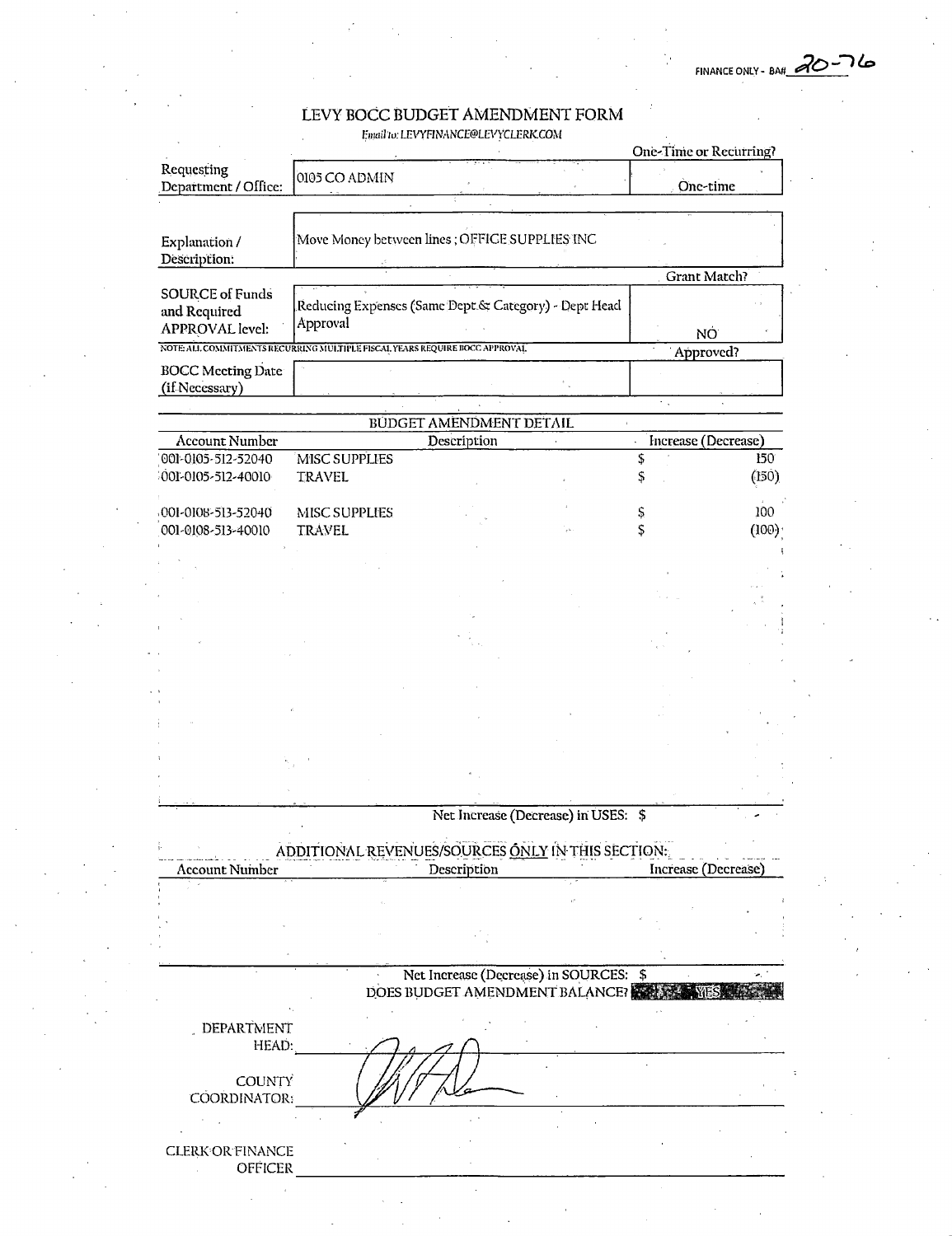ገሬ FINANCE ONLY - BAN 20

### LEVY BOCC BUDGET AMENDMENT FORM

Email to: LEVYFINANCE@LEVYCLERK.COM

|                                    |                                                                            |                                        | One-Time or Recurring? |       |
|------------------------------------|----------------------------------------------------------------------------|----------------------------------------|------------------------|-------|
| Requesting<br>Department / Office: | 0105 CO ADMIN                                                              |                                        | One-time               |       |
|                                    |                                                                            |                                        |                        |       |
|                                    |                                                                            |                                        |                        |       |
| Explanation /                      | Move Money between lines ; OFFICE SUPPLIES INC                             |                                        |                        |       |
| Description:                       |                                                                            |                                        |                        |       |
|                                    |                                                                            |                                        | Grant Match?           |       |
| <b>SOURCE of Funds</b>             | Reducing Expenses (Same Dept & Category) - Dept Head                       |                                        |                        |       |
| and Required                       | Approval                                                                   |                                        |                        |       |
| <b>APPROVAL</b> level:             |                                                                            |                                        |                        | NÓ    |
|                                    | NOTE ALL COMMITMENTS RECURRING MULTIPLE FISCAL YEARS REQUIRE BOCC APPROVAL |                                        | Approved?              |       |
| <b>BOCC</b> Meeting Date           |                                                                            |                                        |                        |       |
| (if Necessary)                     |                                                                            |                                        |                        |       |
|                                    |                                                                            |                                        | $\epsilon_{\rm in}$    |       |
|                                    |                                                                            | BUDGET AMENDMENT DETAIL                |                        |       |
| Account Number                     |                                                                            | Description                            | Increase (Decrease)    |       |
| 001-0105-512-52040                 | MISC SUPPLIES                                                              |                                        | \$                     | 150   |
| 001-0105-512-40010                 | <b>TRAVEL</b>                                                              |                                        | Ş,                     | (150) |
|                                    |                                                                            |                                        |                        |       |
| 001-0108-513-52040                 | MISC SUPPLIES                                                              |                                        | Ş                      | 100   |
| 001-0108-513-40010                 | <b>TRAVEL</b>                                                              |                                        | \$                     | (100) |
|                                    |                                                                            |                                        |                        |       |
|                                    |                                                                            |                                        |                        |       |
|                                    |                                                                            |                                        |                        |       |
|                                    |                                                                            |                                        |                        |       |
|                                    |                                                                            |                                        |                        |       |
|                                    |                                                                            |                                        |                        |       |
|                                    |                                                                            |                                        |                        |       |
|                                    |                                                                            |                                        |                        |       |
|                                    |                                                                            |                                        |                        |       |
|                                    |                                                                            |                                        |                        |       |
|                                    |                                                                            |                                        |                        |       |
|                                    |                                                                            |                                        |                        |       |
|                                    |                                                                            |                                        |                        |       |
|                                    |                                                                            |                                        |                        |       |
|                                    |                                                                            |                                        |                        |       |
|                                    |                                                                            | Net Increase (Decrease) in USES: \$    |                        |       |
|                                    |                                                                            |                                        |                        |       |
|                                    | ADDITIONAL REVENUES/SOURCES ONLY IN THIS SECTION:                          |                                        |                        |       |
| <b>Account Number</b>              |                                                                            | Description                            | Increase (Decrease)    |       |
|                                    |                                                                            |                                        |                        |       |
|                                    |                                                                            |                                        |                        |       |
|                                    |                                                                            |                                        |                        |       |
|                                    |                                                                            |                                        |                        |       |
|                                    |                                                                            |                                        |                        |       |
|                                    |                                                                            | Net Increase (Decrease) in SOURCES: \$ |                        |       |
|                                    |                                                                            | DOES BUDGET AMENDMENT BALANCE?         |                        |       |
|                                    |                                                                            |                                        |                        |       |
| DEPARTMENT                         |                                                                            |                                        |                        |       |
| HEAD:                              |                                                                            |                                        |                        |       |
|                                    |                                                                            |                                        |                        |       |
| <b>COUNTY</b>                      |                                                                            |                                        |                        |       |
| COORDINATOR:                       |                                                                            |                                        |                        |       |
|                                    |                                                                            |                                        |                        |       |
|                                    |                                                                            |                                        |                        |       |
| <b>CLERK OR FINANCE</b>            |                                                                            |                                        |                        |       |
| OFFICER                            |                                                                            |                                        |                        |       |
|                                    |                                                                            |                                        |                        |       |